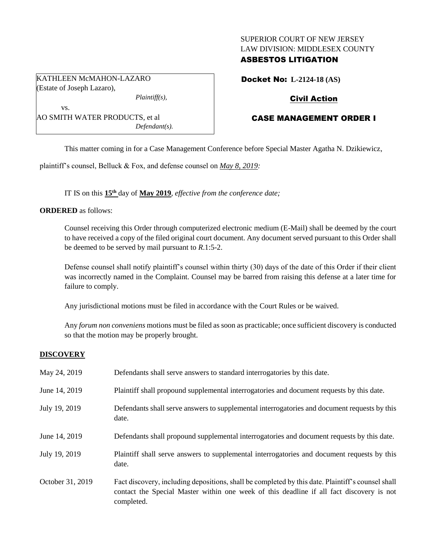# SUPERIOR COURT OF NEW JERSEY LAW DIVISION: MIDDLESEX COUNTY

# ASBESTOS LITIGATION

KATHLEEN McMAHON-LAZARO (Estate of Joseph Lazaro),

*Plaintiff(s),*

vs. AO SMITH WATER PRODUCTS, et al *Defendant(s).* Docket No: **L-2124-18 (AS)**

# Civil Action

# CASE MANAGEMENT ORDER I

This matter coming in for a Case Management Conference before Special Master Agatha N. Dzikiewicz,

plaintiff's counsel, Belluck & Fox, and defense counsel on *May 8, 2019:*

IT IS on this **15th** day of **May 2019**, *effective from the conference date;*

**ORDERED** as follows:

Counsel receiving this Order through computerized electronic medium (E-Mail) shall be deemed by the court to have received a copy of the filed original court document. Any document served pursuant to this Order shall be deemed to be served by mail pursuant to *R*.1:5-2.

Defense counsel shall notify plaintiff's counsel within thirty (30) days of the date of this Order if their client was incorrectly named in the Complaint. Counsel may be barred from raising this defense at a later time for failure to comply.

Any jurisdictional motions must be filed in accordance with the Court Rules or be waived.

Any *forum non conveniens* motions must be filed as soon as practicable; once sufficient discovery is conducted so that the motion may be properly brought.

# **DISCOVERY**

| May 24, 2019     | Defendants shall serve answers to standard interrogatories by this date.                                                                                                                                    |
|------------------|-------------------------------------------------------------------------------------------------------------------------------------------------------------------------------------------------------------|
| June 14, 2019    | Plaintiff shall propound supplemental interrogatories and document requests by this date.                                                                                                                   |
| July 19, 2019    | Defendants shall serve answers to supplemental interrogatories and document requests by this<br>date.                                                                                                       |
| June 14, 2019    | Defendants shall propound supplemental interrogatories and document requests by this date.                                                                                                                  |
| July 19, 2019    | Plaintiff shall serve answers to supplemental interrogatories and document requests by this<br>date.                                                                                                        |
| October 31, 2019 | Fact discovery, including depositions, shall be completed by this date. Plaintiff's counsel shall<br>contact the Special Master within one week of this deadline if all fact discovery is not<br>completed. |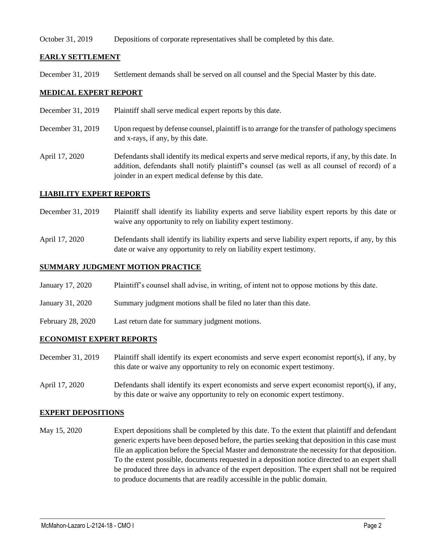### October 31, 2019 Depositions of corporate representatives shall be completed by this date.

## **EARLY SETTLEMENT**

December 31, 2019 Settlement demands shall be served on all counsel and the Special Master by this date.

## **MEDICAL EXPERT REPORT**

- December 31, 2019 Plaintiff shall serve medical expert reports by this date.
- December 31, 2019 Upon request by defense counsel, plaintiff is to arrange for the transfer of pathology specimens and x-rays, if any, by this date.
- April 17, 2020 Defendants shall identify its medical experts and serve medical reports, if any, by this date. In addition, defendants shall notify plaintiff's counsel (as well as all counsel of record) of a joinder in an expert medical defense by this date.

### **LIABILITY EXPERT REPORTS**

- December 31, 2019 Plaintiff shall identify its liability experts and serve liability expert reports by this date or waive any opportunity to rely on liability expert testimony.
- April 17, 2020 Defendants shall identify its liability experts and serve liability expert reports, if any, by this date or waive any opportunity to rely on liability expert testimony.

## **SUMMARY JUDGMENT MOTION PRACTICE**

- January 17, 2020 Plaintiff's counsel shall advise, in writing, of intent not to oppose motions by this date.
- January 31, 2020 Summary judgment motions shall be filed no later than this date.
- February 28, 2020 Last return date for summary judgment motions.

### **ECONOMIST EXPERT REPORTS**

- December 31, 2019 Plaintiff shall identify its expert economists and serve expert economist report(s), if any, by this date or waive any opportunity to rely on economic expert testimony.
- April 17, 2020 Defendants shall identify its expert economists and serve expert economist report(s), if any, by this date or waive any opportunity to rely on economic expert testimony.

### **EXPERT DEPOSITIONS**

May 15, 2020 Expert depositions shall be completed by this date. To the extent that plaintiff and defendant generic experts have been deposed before, the parties seeking that deposition in this case must file an application before the Special Master and demonstrate the necessity for that deposition. To the extent possible, documents requested in a deposition notice directed to an expert shall be produced three days in advance of the expert deposition. The expert shall not be required to produce documents that are readily accessible in the public domain.

 $\_$  , and the set of the set of the set of the set of the set of the set of the set of the set of the set of the set of the set of the set of the set of the set of the set of the set of the set of the set of the set of th